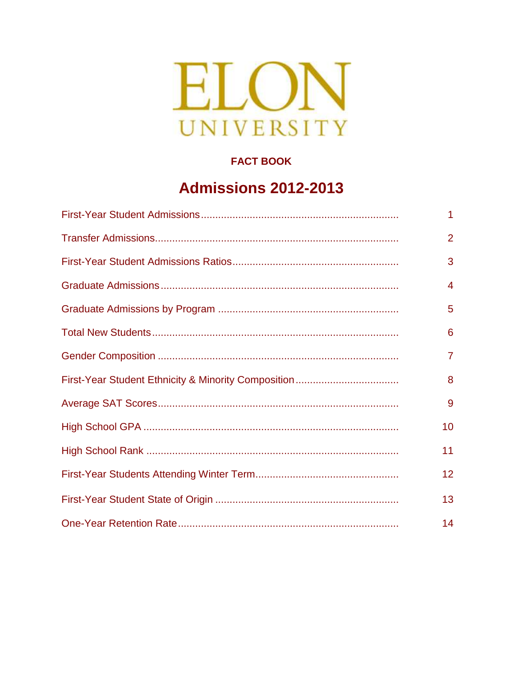

#### **FACT BOOK**

# **Admissions 2012-2013**

| 1               |
|-----------------|
| $\overline{2}$  |
| 3               |
| 4               |
| 5               |
| 6               |
| 7               |
| 8               |
| 9               |
| 10              |
| 11              |
| 12 <sub>2</sub> |
| 13              |
| 14              |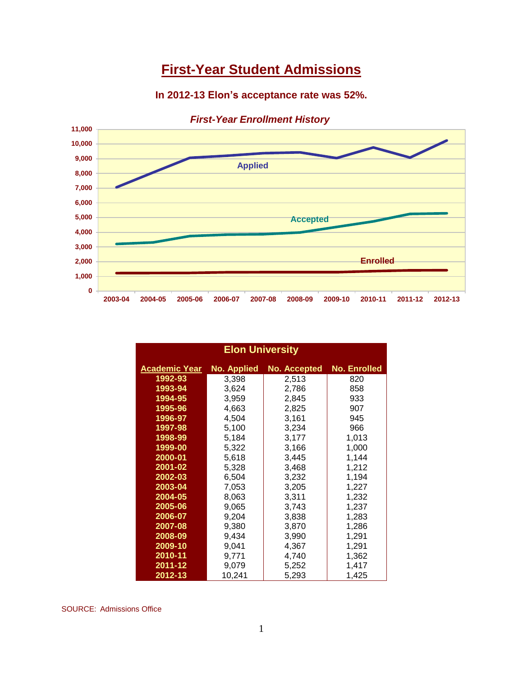# **First-Year Student Admissions**

#### **In 2012-13 Elon's acceptance rate was 52%.**



|  |  |  |  | <b>First-Year Enrollment History</b> |
|--|--|--|--|--------------------------------------|
|--|--|--|--|--------------------------------------|

| <b>Elon University</b> |             |                     |                     |  |  |
|------------------------|-------------|---------------------|---------------------|--|--|
| <b>Academic Year</b>   | No. Applied | <b>No. Accepted</b> | <b>No. Enrolled</b> |  |  |
| 1992-93                | 3,398       | 2,513               | 820                 |  |  |
| 1993-94                | 3,624       | 2,786               | 858                 |  |  |
| 1994-95                | 3,959       | 2,845               | 933                 |  |  |
| 1995-96                | 4,663       | 2,825               | 907                 |  |  |
| 1996-97                | 4,504       | 3,161               | 945                 |  |  |
| 1997-98                | 5,100       | 3,234               | 966                 |  |  |
| 1998-99                | 5,184       | 3,177               | 1,013               |  |  |
| 1999-00                | 5,322       | 3,166               | 1,000               |  |  |
| 2000-01                | 5,618       | 3,445               | 1,144               |  |  |
| 2001-02                | 5,328       | 3,468               | 1,212               |  |  |
| 2002-03                | 6,504       | 3,232               | 1,194               |  |  |
| 2003-04                | 7,053       | 3,205               | 1,227               |  |  |
| 2004-05                | 8,063       | 3,311               | 1,232               |  |  |
| 2005-06                | 9,065       | 3,743               | 1,237               |  |  |
| 2006-07                | 9,204       | 3,838               | 1,283               |  |  |
| 2007-08                | 9,380       | 3,870               | 1,286               |  |  |
| 2008-09                | 9,434       | 3,990               | 1,291               |  |  |
| 2009-10                | 9,041       | 4,367               | 1,291               |  |  |
| 2010-11                | 9,771       | 4,740               | 1,362               |  |  |
| $2011 - 12$            | 9,079       | 5,252               | 1,417               |  |  |
| 2012-13                | 10,241      | 5,293               | 1,425               |  |  |

SOURCE: Admissions Office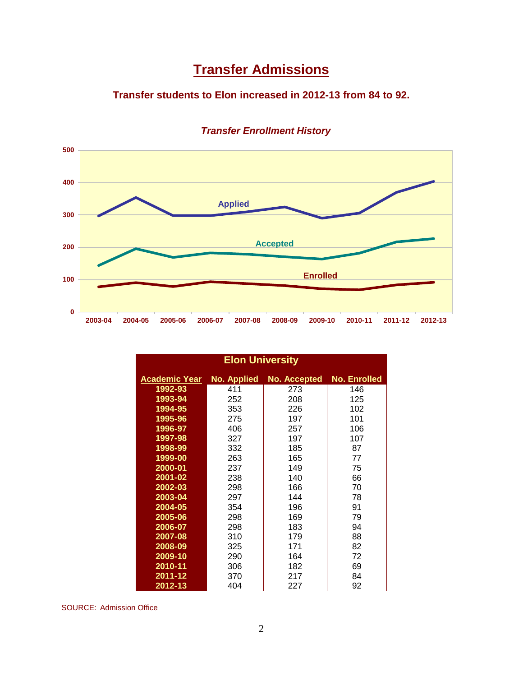# **Transfer Admissions**

#### **Transfer students to Elon increased in 2012-13 from 84 to 92.**



#### *Transfer Enrollment History*

| <b>Elon University</b> |                    |              |              |  |  |
|------------------------|--------------------|--------------|--------------|--|--|
| <u>Academic Year</u>   | <b>No. Applied</b> | No. Accepted | No. Enrolled |  |  |
| 1992-93                | 411                | 273          | 146          |  |  |
| 1993-94                | 252                | 208          | 125          |  |  |
| 1994-95                | 353                | 226          | 102          |  |  |
| 1995-96                | 275                | 197          | 101          |  |  |
| 1996-97                | 406                | 257          | 106          |  |  |
| 1997-98                | 327                | 197          | 107          |  |  |
| 1998-99                | 332                | 185          | 87           |  |  |
| 1999-00                | 263                | 165          | 77           |  |  |
| 2000-01                | 237                | 149          | 75           |  |  |
| 2001-02                | 238                | 140          | 66           |  |  |
| 2002-03                | 298                | 166          | 70           |  |  |
| 2003-04                | 297                | 144          | 78           |  |  |
| 2004-05                | 354                | 196          | 91           |  |  |
| 2005-06                | 298                | 169          | 79           |  |  |
| 2006-07                | 298                | 183          | 94           |  |  |
| 2007-08                | 310                | 179          | 88           |  |  |
| 2008-09                | 325                | 171          | 82           |  |  |
| 2009-10                | 290                | 164          | 72           |  |  |
| 2010-11                | 306                | 182          | 69           |  |  |
| $2011 - 12$            | 370                | 217          | 84           |  |  |
| 2012-13                | 404                | 227          | 92           |  |  |

SOURCE: Admission Office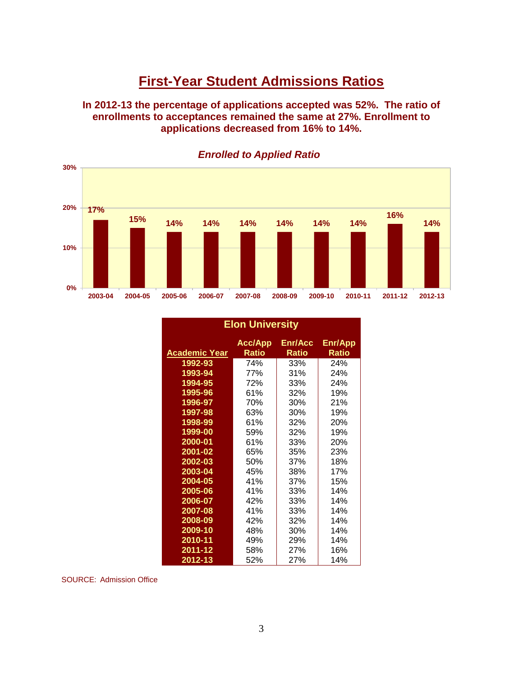### **First-Year Student Admissions Ratios**

**In 2012-13 the percentage of applications accepted was 52%. The ratio of enrollments to acceptances remained the same at 27%. Enrollment to applications decreased from 16% to 14%.** 



*Enrolled to Applied Ratio*

| <b>Elon University</b> |                                |                         |                         |  |
|------------------------|--------------------------------|-------------------------|-------------------------|--|
| <u>Academic Year</u>   | <b>Acc/App</b><br><b>Ratio</b> | Enr/Acc<br><b>Ratio</b> | Enr/App<br><b>Ratio</b> |  |
| 1992-93                | 74%                            | 33%                     | 24%                     |  |
| 1993-94                | 77%                            | 31%                     | 24%                     |  |
| 1994-95                | 72%                            | 33%                     | 24%                     |  |
| 1995-96                | 61%                            | 32%                     | 19%                     |  |
| 1996-97                | 70%                            | 30%                     | 21%                     |  |
| 1997-98                | 63%                            | 30%                     | 19%                     |  |
| 1998-99                | 61%                            | 32%                     | 20%                     |  |
| 1999-00                | 59%                            | 32%                     | 19%                     |  |
| 2000-01                | 61%                            | 33%                     | 20%                     |  |
| 2001-02                | 65%                            | 35%                     | 23%                     |  |
| 2002-03                | 50%                            | 37%                     | 18%                     |  |
| 2003-04                | 45%                            | 38%                     | 17%                     |  |
| 2004-05                | 41%                            | 37%                     | 15%                     |  |
| 2005-06                | 41%                            | 33%                     | 14%                     |  |
| 2006-07                | 42%                            | 33%                     | 14%                     |  |
| 2007-08                | 41%                            | 33%                     | 14%                     |  |
| 2008-09                | 42%                            | 32%                     | 14%                     |  |
| 2009-10                | 48%                            | 30%                     | 14%                     |  |
| 2010-11                | 49%                            | 29%                     | 14%                     |  |
| 2011-12                | 58%                            | 27%                     | 16%                     |  |
| 2012-13                | 52%                            | 27%                     | 14%                     |  |

SOURCE: Admission Office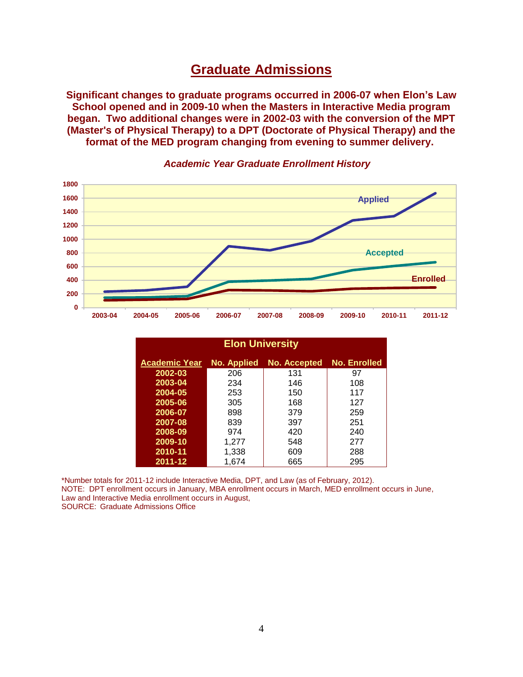### **Graduate Admissions**

**Significant changes to graduate programs occurred in 2006-07 when Elon's Law School opened and in 2009-10 when the Masters in Interactive Media program began. Two additional changes were in 2002-03 with the conversion of the MPT (Master's of Physical Therapy) to a DPT (Doctorate of Physical Therapy) and the format of the MED program changing from evening to summer delivery.**



#### *Academic Year Graduate Enrollment History*

| <b>Elon University</b> |             |              |                     |  |  |  |
|------------------------|-------------|--------------|---------------------|--|--|--|
| <b>Academic Year</b>   | No. Applied | No. Accepted | <b>No. Enrolled</b> |  |  |  |
| 2002-03                | 206         | 131          | 97                  |  |  |  |
| 2003-04                | 234         | 146          | 108                 |  |  |  |
| 2004-05                | 253         | 150          | 117                 |  |  |  |
| 2005-06                | 305         | 168          | 127                 |  |  |  |
| 2006-07                | 898         | 379          | 259                 |  |  |  |
| 2007-08                | 839         | 397          | 251                 |  |  |  |
| 2008-09                | 974         | 420          | 240                 |  |  |  |
| 2009-10                | 1,277       | 548          | 277                 |  |  |  |
| 2010-11                | 1,338       | 609          | 288                 |  |  |  |
| 2011-12                | 1,674       | 665          | 295                 |  |  |  |

\*Number totals for 2011-12 include Interactive Media, DPT, and Law (as of February, 2012). NOTE: DPT enrollment occurs in January, MBA enrollment occurs in March, MED enrollment occurs in June, Law and Interactive Media enrollment occurs in August, SOURCE: Graduate Admissions Office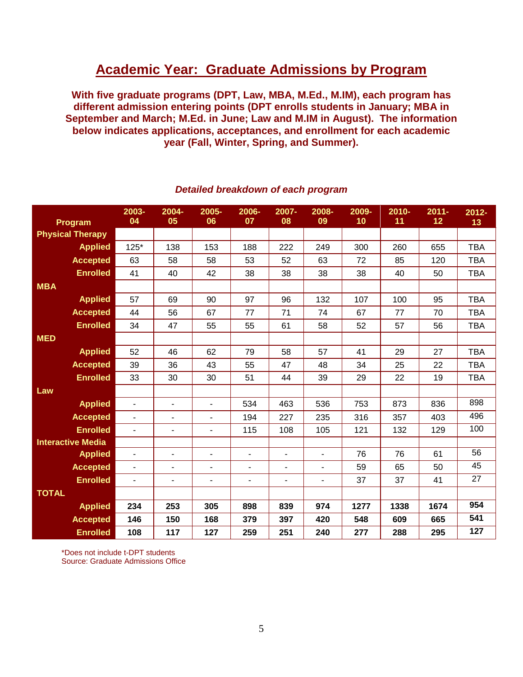## **Academic Year: Graduate Admissions by Program**

**With five graduate programs (DPT, Law, MBA, M.Ed., M.IM), each program has different admission entering points (DPT enrolls students in January; MBA in September and March; M.Ed. in June; Law and M.IM in August). The information below indicates applications, acceptances, and enrollment for each academic year (Fall, Winter, Spring, and Summer).**

| Program                  | 2003-<br>04              | 2004-<br>05              | 2005-<br>06              | 2006-<br>07              | 2007-<br>08              | 2008-<br>09              | 2009-<br>10 | 2010-<br>11 | $2011 -$<br>12 | $2012 -$<br>13 |
|--------------------------|--------------------------|--------------------------|--------------------------|--------------------------|--------------------------|--------------------------|-------------|-------------|----------------|----------------|
| <b>Physical Therapy</b>  |                          |                          |                          |                          |                          |                          |             |             |                |                |
| <b>Applied</b>           | 125*                     | 138                      | 153                      | 188                      | 222                      | 249                      | 300         | 260         | 655            | <b>TBA</b>     |
| <b>Accepted</b>          | 63                       | 58                       | 58                       | 53                       | 52                       | 63                       | 72          | 85          | 120            | <b>TBA</b>     |
| <b>Enrolled</b>          | 41                       | 40                       | 42                       | 38                       | 38                       | 38                       | 38          | 40          | 50             | <b>TBA</b>     |
| <b>MBA</b>               |                          |                          |                          |                          |                          |                          |             |             |                |                |
| <b>Applied</b>           | 57                       | 69                       | 90                       | 97                       | 96                       | 132                      | 107         | 100         | 95             | <b>TBA</b>     |
| <b>Accepted</b>          | 44                       | 56                       | 67                       | 77                       | 71                       | 74                       | 67          | 77          | 70             | <b>TBA</b>     |
| <b>Enrolled</b>          | 34                       | 47                       | 55                       | 55                       | 61                       | 58                       | 52          | 57          | 56             | <b>TBA</b>     |
| <b>MED</b>               |                          |                          |                          |                          |                          |                          |             |             |                |                |
| <b>Applied</b>           | 52                       | 46                       | 62                       | 79                       | 58                       | 57                       | 41          | 29          | 27             | <b>TBA</b>     |
| <b>Accepted</b>          | 39                       | 36                       | 43                       | 55                       | 47                       | 48                       | 34          | 25          | 22             | <b>TBA</b>     |
| <b>Enrolled</b>          | 33                       | 30                       | 30                       | 51                       | 44                       | 39                       | 29          | 22          | 19             | <b>TBA</b>     |
| Law                      |                          |                          |                          |                          |                          |                          |             |             |                |                |
| <b>Applied</b>           | $\blacksquare$           | $\blacksquare$           | $\blacksquare$           | 534                      | 463                      | 536                      | 753         | 873         | 836            | 898            |
| <b>Accepted</b>          | ÷,                       | $\overline{\phantom{a}}$ | $\blacksquare$           | 194                      | 227                      | 235                      | 316         | 357         | 403            | 496            |
| <b>Enrolled</b>          | $\overline{\phantom{a}}$ | $\overline{\phantom{a}}$ | $\overline{\phantom{a}}$ | 115                      | 108                      | 105                      | 121         | 132         | 129            | 100            |
| <b>Interactive Media</b> |                          |                          |                          |                          |                          |                          |             |             |                |                |
| <b>Applied</b>           | ٠                        | $\blacksquare$           | $\blacksquare$           | $\overline{a}$           | $\blacksquare$           | $\mathbf{r}$             | 76          | 76          | 61             | 56             |
| <b>Accepted</b>          | $\overline{\phantom{a}}$ | $\overline{\phantom{a}}$ | $\blacksquare$           | ä,                       | $\overline{\phantom{0}}$ | $\blacksquare$           | 59          | 65          | 50             | 45             |
| <b>Enrolled</b>          | ÷,                       | $\overline{\phantom{a}}$ | $\blacksquare$           | $\overline{\phantom{a}}$ | $\overline{\phantom{0}}$ | $\overline{\phantom{a}}$ | 37          | 37          | 41             | 27             |
| <b>TOTAL</b>             |                          |                          |                          |                          |                          |                          |             |             |                |                |
| <b>Applied</b>           | 234                      | 253                      | 305                      | 898                      | 839                      | 974                      | 1277        | 1338        | 1674           | 954            |
| <b>Accepted</b>          | 146                      | 150                      | 168                      | 379                      | 397                      | 420                      | 548         | 609         | 665            | 541            |
| <b>Enrolled</b>          | 108                      | 117                      | 127                      | 259                      | 251                      | 240                      | 277         | 288         | 295            | 127            |

#### *Detailed breakdown of each program*

\*Does not include t-DPT students Source: Graduate Admissions Office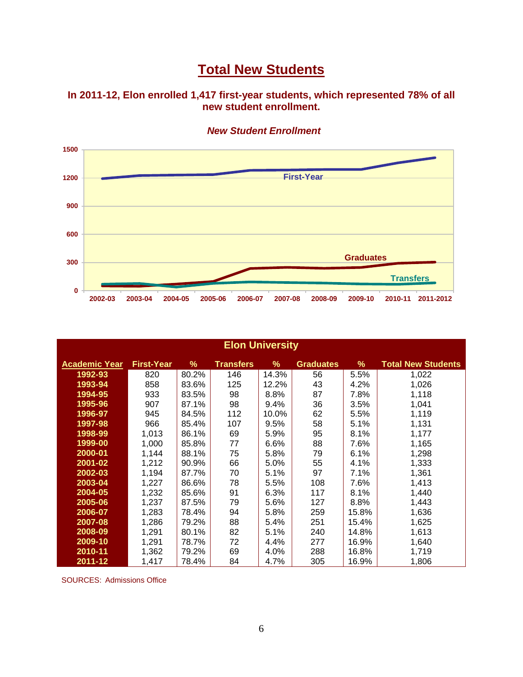# **Total New Students**

**In 2011-12, Elon enrolled 1,417 first-year students, which represented 78% of all new student enrollment.** 



*New Student Enrollment*

| <b>Elon University</b> |                   |       |                  |       |                  |       |                           |
|------------------------|-------------------|-------|------------------|-------|------------------|-------|---------------------------|
| <b>Academic Year</b>   | <b>First-Year</b> | %     | <b>Transfers</b> | ℅     | <b>Graduates</b> | $\%$  | <b>Total New Students</b> |
| 1992-93                | 820               | 80.2% | 146              | 14.3% | 56               | 5.5%  | 1,022                     |
| 1993-94                | 858               | 83.6% | 125              | 12.2% | 43               | 4.2%  | 1,026                     |
| 1994-95                | 933               | 83.5% | 98               | 8.8%  | 87               | 7.8%  | 1,118                     |
| 1995-96                | 907               | 87.1% | 98               | 9.4%  | 36               | 3.5%  | 1,041                     |
| 1996-97                | 945               | 84.5% | 112              | 10.0% | 62               | 5.5%  | 1,119                     |
| 1997-98                | 966               | 85.4% | 107              | 9.5%  | 58               | 5.1%  | 1,131                     |
| 1998-99                | 1,013             | 86.1% | 69               | 5.9%  | 95               | 8.1%  | 1,177                     |
| 1999-00                | 1,000             | 85.8% | 77               | 6.6%  | 88               | 7.6%  | 1,165                     |
| 2000-01                | 1,144             | 88.1% | 75               | 5.8%  | 79               | 6.1%  | 1,298                     |
| 2001-02                | 1,212             | 90.9% | 66               | 5.0%  | 55               | 4.1%  | 1,333                     |
| 2002-03                | 1,194             | 87.7% | 70               | 5.1%  | 97               | 7.1%  | 1,361                     |
| 2003-04                | 1,227             | 86.6% | 78               | 5.5%  | 108              | 7.6%  | 1,413                     |
| 2004-05                | 1,232             | 85.6% | 91               | 6.3%  | 117              | 8.1%  | 1,440                     |
| 2005-06                | 1,237             | 87.5% | 79               | 5.6%  | 127              | 8.8%  | 1,443                     |
| 2006-07                | 1,283             | 78.4% | 94               | 5.8%  | 259              | 15.8% | 1,636                     |
| 2007-08                | 1,286             | 79.2% | 88               | 5.4%  | 251              | 15.4% | 1,625                     |
| 2008-09                | 1,291             | 80.1% | 82               | 5.1%  | 240              | 14.8% | 1,613                     |
| 2009-10                | 1,291             | 78.7% | 72               | 4.4%  | 277              | 16.9% | 1,640                     |
| 2010-11                | 1,362             | 79.2% | 69               | 4.0%  | 288              | 16.8% | 1,719                     |
| 2011-12                | 1,417             | 78.4% | 84               | 4.7%  | 305              | 16.9% | 1,806                     |

SOURCES: Admissions Office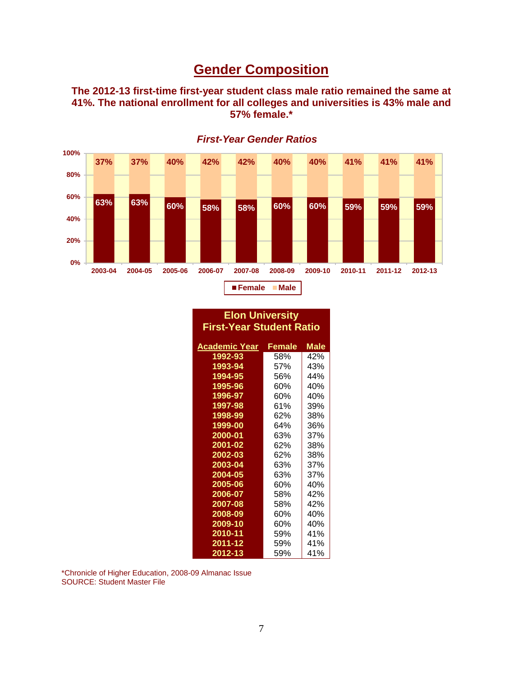## **Gender Composition**

**The 2012-13 first-time first-year student class male ratio remained the same at 41%. The national enrollment for all colleges and universities is 43% male and 57% female.\***



*First-Year Gender Ratios*

#### **Elon University First-Year Student Ratio**

| Academic Year | Female | Male |
|---------------|--------|------|
| 1992-93       | 58%    | 42%  |
| 1993-94       | 57%    | 43%  |
| 1994-95       | 56%    | 44%  |
| 1995-96       | 60%    | 40%  |
| 1996-97       | 60%    | 40%  |
| 1997-98       | 61%    | 39%  |
| 1998-99       | 62%    | 38%  |
| 1999-00       | 64%    | 36%  |
| 2000-01       | 63%    | 37%  |
| 2001-02       | 62%    | 38%  |
| 2002-03       | 62%    | 38%  |
| 2003-04       | 63%    | 37%  |
| 2004-05       | 63%    | 37%  |
| 2005-06       | 60%    | 40%  |
| 2006-07       | 58%    | 42%  |
| 2007-08       | 58%    | 42%  |
| 2008-09       | 60%    | 40%  |
| 2009-10       | 60%    | 40%  |
| 2010-11       | 59%    | 41%  |
| 2011-12       | 59%    | 41%  |
| 2012-13       | 59%    | 41%  |

\*Chronicle of Higher Education, 2008-09 Almanac Issue SOURCE: Student Master File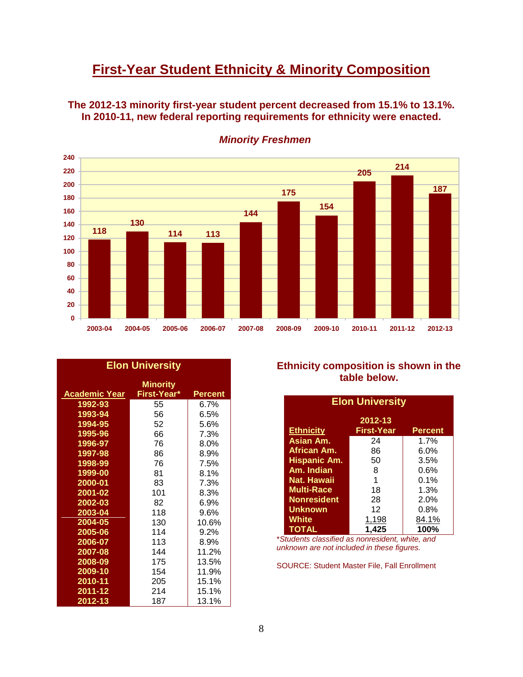# **First-Year Student Ethnicity & Minority Composition**

**The 2012-13 minority first-year student percent decreased from 15.1% to 13.1%. In 2010-11, new federal reporting requirements for ethnicity were enacted.** 



*Minority Freshmen*

| <b>Elon University</b> |                                |                |  |  |
|------------------------|--------------------------------|----------------|--|--|
| <b>Academic Year</b>   | <b>Minority</b><br>First-Year* | <b>Percent</b> |  |  |
| 1992-93                | 55                             | 6.7%           |  |  |
| 1993-94                | 56                             | 6.5%           |  |  |
| 1994-95                | 52                             | 5.6%           |  |  |
| 1995-96                | 66                             | 7.3%           |  |  |
| 1996-97                | 76                             | $8.0\%$        |  |  |
| 1997-98                | 86                             | 8.9%           |  |  |
| 1998-99                | 76                             | 7.5%           |  |  |
| 1999-00                | 81                             | 8.1%           |  |  |
| 2000-01                | 83                             | 7.3%           |  |  |
| 2001-02                | 101                            | 8.3%           |  |  |
| 2002-03                | 82                             | 6.9%           |  |  |
| 2003-04                | 118                            | 9.6%           |  |  |
| 2004-05                | 130                            | 10.6%          |  |  |
| 2005-06                | 114                            | 9.2%           |  |  |
| 2006-07                | 113                            | 8.9%           |  |  |
| 2007-08                | 144                            | 11.2%          |  |  |
| 2008-09                | 175                            | 13.5%          |  |  |
| 2009-10                | 154                            | 11.9%          |  |  |
| 2010-11                | 205                            | 15.1%          |  |  |
| 2011-12                | 214                            | 15.1%          |  |  |
| 2012-13                | 187                            | 13.1%          |  |  |

#### **Ethnicity composition is shown in the table below.**

| <b>Elon University</b> |                   |                |  |  |  |
|------------------------|-------------------|----------------|--|--|--|
| 2012-13                |                   |                |  |  |  |
| <b>Ethnicity</b>       | <b>First-Year</b> | <b>Percent</b> |  |  |  |
| Asian Am.              | 24                | 1.7%           |  |  |  |
| African Am.            | 86                | $6.0\%$        |  |  |  |
| <b>Hispanic Am.</b>    | 50                | 3.5%           |  |  |  |
| Am. Indian             | 8                 | 0.6%           |  |  |  |
| Nat. Hawaii            | 1                 | 0.1%           |  |  |  |
| <b>Multi-Race</b>      | 18                | 1.3%           |  |  |  |
| <b>Nonresident</b>     | 28                | 2.0%           |  |  |  |
| <b>Unknown</b>         | 12                | $0.8\%$        |  |  |  |
| <b>White</b>           | 1,198             | 84.1%          |  |  |  |
| <b>TOTAL</b>           | 1,425             | 100%           |  |  |  |

\**Students classified as nonresident, white, and unknown are not included in these figures.*

SOURCE: Student Master File, Fall Enrollment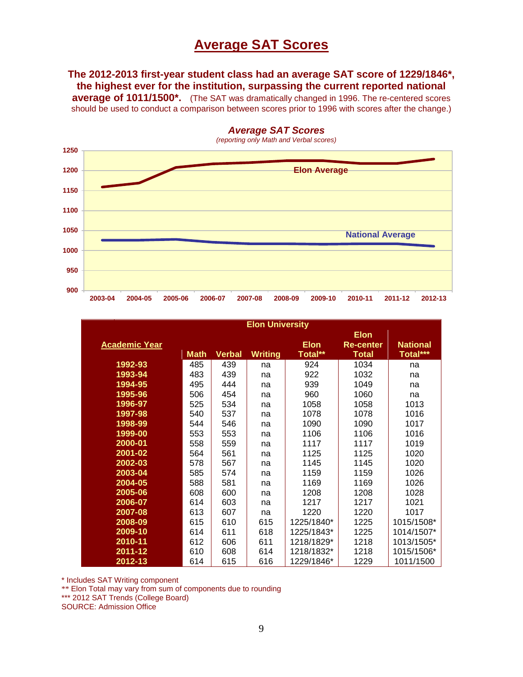### **Average SAT Scores**

**The 2012-2013 first-year student class had an average SAT score of 1229/1846\*, the highest ever for the institution, surpassing the current reported national** 

**average of 1011/1500\*.** (The SAT was dramatically changed in 1996. The re-centered scores should be used to conduct a comparison between scores prior to 1996 with scores after the change.)



**Elon University Academic Year Math Verbal Writing Elon Total\*\* Elon Re-center Total National Total\*\*\* 1992-93 1993-94 1994-95 1995-96 1996-97 1997-98 1998-99 1999-00 2000-01 2001-02 2002-03 2003-04 2004-05 2005-06 2006-07 2007-08 2008-09 2009-10 2010-11 2011-12 2012-13** 485 483 495 506 525 540 544 553 558 564 578 585 588 608 614 613 615 614 612 610 614 439 439 444 454 534 537 546 553 559 561 567 574 581 600 603 607 610 611 606 608 615 na na na na na na na na na na na na na na na na 615 618 611 614 616 924 922 939 960 1058 1078 1090 1106 1117 1125 1145 1159 1169 1208 1217 1220 1225/1840\* 1225/1843\* 1218/1829\* 1218/1832\* 1229/1846\* 1034 1032 1049 1060 1058 1078 1090 1106 1117 1125 1145 1159 1169 1208 1217 1220 1225 1225 1218 1218 1229 na na na na 1013 1016 1017 1016 1019 1020 1020 1026 1026 1028 1021 1017 1015/1508\* 1014/1507\* 1013/1505\* 1015/1506\* 1011/1500

\* Includes SAT Writing component

\*\* Elon Total may vary from sum of components due to rounding

\*\*\* 2012 SAT Trends (College Board)

SOURCE: Admission Office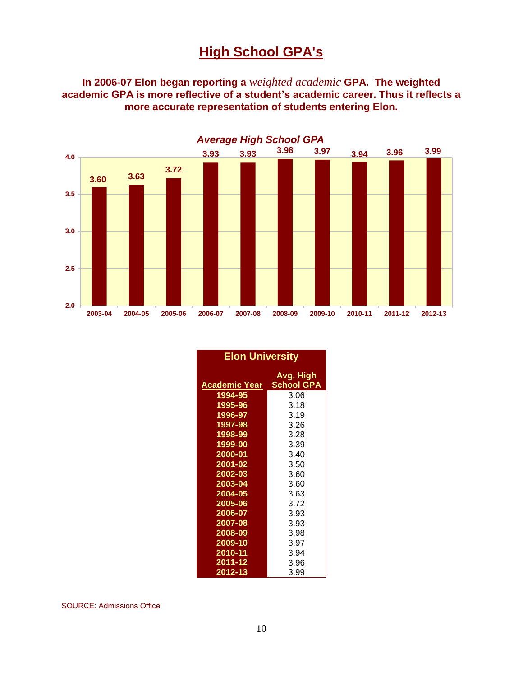# **High School GPA's**

**In 2006-07 Elon began reporting a** *weighted academic* **GPA. The weighted academic GPA is more reflective of a student's academic career. Thus it reflects a more accurate representation of students entering Elon.**



| <b>Elon University</b> |                                |  |  |  |  |
|------------------------|--------------------------------|--|--|--|--|
| <b>Academic Year</b>   | Avg. High<br><b>School GPA</b> |  |  |  |  |
| 1994-95                | 3.06                           |  |  |  |  |
| 1995-96                | 3.18                           |  |  |  |  |
| 1996-97                | 3.19                           |  |  |  |  |
| 1997-98                | 3.26                           |  |  |  |  |
| 1998-99                | 3.28                           |  |  |  |  |
| 1999-00                | 3.39                           |  |  |  |  |
| 2000-01                | 3.40                           |  |  |  |  |
| 2001-02                | 3.50                           |  |  |  |  |
| 2002-03                | 3.60                           |  |  |  |  |
| 2003-04                | 3.60                           |  |  |  |  |
| 2004-05                | 3.63                           |  |  |  |  |
| 2005-06                | 3.72                           |  |  |  |  |
| 2006-07                | 3.93                           |  |  |  |  |
| 2007-08                | 3.93                           |  |  |  |  |
| 2008-09                | 3.98                           |  |  |  |  |
| 2009-10                | 3.97                           |  |  |  |  |
| 2010-11                | 3.94                           |  |  |  |  |
| 2011-12                | 3.96                           |  |  |  |  |
| 2012-13                | 3.99                           |  |  |  |  |

SOURCE: Admissions Office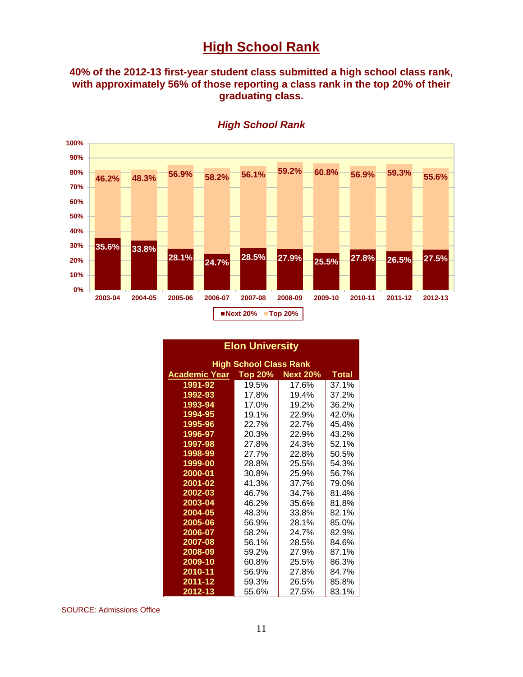### **High School Rank**

#### **40% of the 2012-13 first-year student class submitted a high school class rank, with approximately 56% of those reporting a class rank in the top 20% of their graduating class.**



*High School Rank*

#### **Elon University**

| <b>High School Class Rank</b> |                |                 |                         |  |  |  |
|-------------------------------|----------------|-----------------|-------------------------|--|--|--|
| Academic Year                 | <b>Top 20%</b> | <b>Next 20%</b> | <b>Total</b>            |  |  |  |
| 1991-92                       | 19.5%          | 17.6%           | 37.1%                   |  |  |  |
| 1992-93                       | 17.8%          | 19.4%           | 37.2%                   |  |  |  |
| 1993-94                       | 17.0%          | 19.2%           | 36.2%                   |  |  |  |
| 1994-95                       | 19.1%          | 22.9%           | 42.0%                   |  |  |  |
| 1995-96                       | 22.7%          | 22.7%           | 45.4%                   |  |  |  |
| 1996-97                       | 20.3%          | 22.9%           | 43.2%                   |  |  |  |
| 1997-98                       | 27.8%          | 24.3%           | 52.1%                   |  |  |  |
| 1998-99                       | 27.7%          | 22.8%           | 50.5%                   |  |  |  |
| 1999-00                       | 28.8%          | 25.5%           | 54.3%                   |  |  |  |
| 2000-01                       | 30.8%          | 25.9%           | 56.7%<br>79.0%<br>81.4% |  |  |  |
| 2001-02                       | 41.3%          | 37.7%           |                         |  |  |  |
| 2002-03                       | 46.7%          | 34.7%           |                         |  |  |  |
| 2003-04                       | 46.2%          | 35.6%           | 81.8%                   |  |  |  |
| 2004-05                       | 48.3%          | 33.8%           | 82.1%                   |  |  |  |
| 2005-06                       | 56.9%          | 28.1%           | 85.0%                   |  |  |  |
| 2006-07                       | 58.2%          | 24.7%           | 82.9%                   |  |  |  |
| 2007-08                       | 56.1%          | 28.5%           | 84.6%                   |  |  |  |
| 2008-09                       | 59.2%          | 27.9%           | 87.1%                   |  |  |  |
| 2009-10                       | 60.8%          | 25.5%           | 86.3%                   |  |  |  |
| 2010-11                       | 56.9%          | 27.8%           | 84.7%                   |  |  |  |
| 2011-12                       | 59.3%          | 26.5%           | 85.8%                   |  |  |  |
| 2012-13                       | 55.6%          | 27.5%           | 83.1%                   |  |  |  |

SOURCE: Admissions Office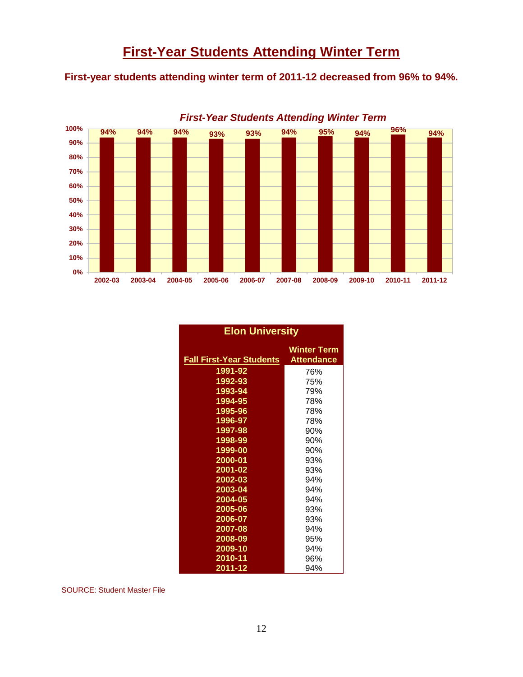**First-year students attending winter term of 2011-12 decreased from 96% to 94%.**



*First-Year Students Attending Winter Term*

| <b>Elon University</b>          |                                         |  |  |  |  |
|---------------------------------|-----------------------------------------|--|--|--|--|
| <b>Fall First-Year Students</b> | <b>Winter Term</b><br><b>Attendance</b> |  |  |  |  |
| 1991-92                         | 76%                                     |  |  |  |  |
| 1992-93                         | 75%                                     |  |  |  |  |
| 1993-94                         | 79%                                     |  |  |  |  |
| 1994-95                         | 78%                                     |  |  |  |  |
| 1995-96                         | 78%                                     |  |  |  |  |
| 1996-97                         | 78%                                     |  |  |  |  |
| 1997-98                         | 90%                                     |  |  |  |  |
| 1998-99                         | 90%                                     |  |  |  |  |
| 1999-00                         | 90%                                     |  |  |  |  |
| 2000-01                         | 93%                                     |  |  |  |  |
| 2001-02                         | 93%                                     |  |  |  |  |
| 2002-03                         | 94%                                     |  |  |  |  |
| 2003-04                         | 94%                                     |  |  |  |  |
| 2004-05                         | 94%                                     |  |  |  |  |
| 2005-06                         | 93%                                     |  |  |  |  |
| 2006-07                         | 93%                                     |  |  |  |  |
| 2007-08                         | 94%                                     |  |  |  |  |
| 2008-09                         | 95%                                     |  |  |  |  |
| 2009-10                         | 94%                                     |  |  |  |  |
| 2010-11                         | 96%                                     |  |  |  |  |
| 2011-12                         | 94%                                     |  |  |  |  |

SOURCE: Student Master File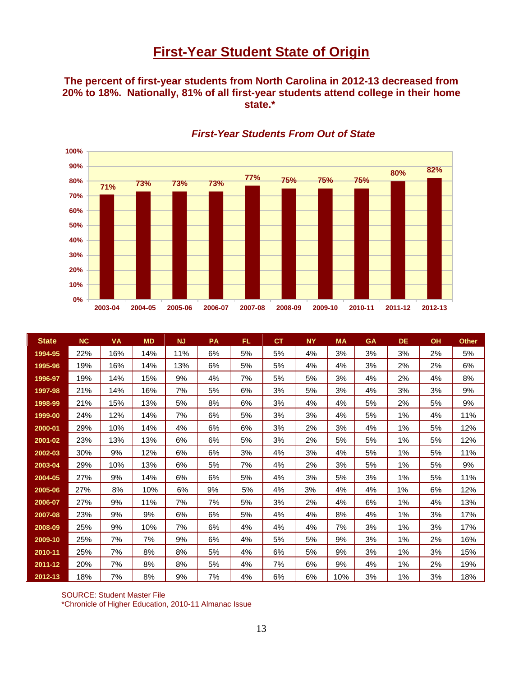## **First-Year Student State of Origin**

**The percent of first-year students from North Carolina in 2012-13 decreased from 20% to 18%. Nationally, 81% of all first-year students attend college in their home state.\***



#### *First-Year Students From Out of State*

| <b>State</b> | <b>NC</b> | <b>VA</b> | <b>MD</b> | <b>NJ</b> | <b>PA</b> | FL. | СT | <b>NY</b> | <b>MA</b> | <b>GA</b> | <b>DE</b> | <b>OH</b> | <b>Other</b> |
|--------------|-----------|-----------|-----------|-----------|-----------|-----|----|-----------|-----------|-----------|-----------|-----------|--------------|
| 1994-95      | 22%       | 16%       | 14%       | 11%       | 6%        | 5%  | 5% | 4%        | 3%        | 3%        | 3%        | 2%        | 5%           |
| 1995-96      | 19%       | 16%       | 14%       | 13%       | 6%        | 5%  | 5% | 4%        | 4%        | 3%        | 2%        | 2%        | 6%           |
| 1996-97      | 19%       | 14%       | 15%       | 9%        | 4%        | 7%  | 5% | 5%        | 3%        | 4%        | 2%        | 4%        | 8%           |
| 1997-98      | 21%       | 14%       | 16%       | 7%        | 5%        | 6%  | 3% | 5%        | 3%        | 4%        | 3%        | 3%        | 9%           |
| 1998-99      | 21%       | 15%       | 13%       | 5%        | 8%        | 6%  | 3% | 4%        | 4%        | 5%        | 2%        | 5%        | 9%           |
| 1999-00      | 24%       | 12%       | 14%       | 7%        | 6%        | 5%  | 3% | 3%        | 4%        | 5%        | 1%        | 4%        | 11%          |
| 2000-01      | 29%       | 10%       | 14%       | 4%        | 6%        | 6%  | 3% | 2%        | 3%        | 4%        | 1%        | 5%        | 12%          |
| 2001-02      | 23%       | 13%       | 13%       | 6%        | 6%        | 5%  | 3% | 2%        | 5%        | 5%        | 1%        | 5%        | 12%          |
| 2002-03      | 30%       | 9%        | 12%       | 6%        | 6%        | 3%  | 4% | 3%        | 4%        | 5%        | $1\%$     | 5%        | 11%          |
| 2003-04      | 29%       | 10%       | 13%       | 6%        | 5%        | 7%  | 4% | 2%        | 3%        | 5%        | 1%        | 5%        | 9%           |
| 2004-05      | 27%       | 9%        | 14%       | 6%        | 6%        | 5%  | 4% | 3%        | 5%        | 3%        | 1%        | 5%        | 11%          |
| 2005-06      | 27%       | 8%        | 10%       | 6%        | 9%        | 5%  | 4% | 3%        | 4%        | 4%        | $1\%$     | 6%        | 12%          |
| 2006-07      | 27%       | 9%        | 11%       | 7%        | 7%        | 5%  | 3% | 2%        | 4%        | 6%        | 1%        | 4%        | 13%          |
| 2007-08      | 23%       | 9%        | 9%        | 6%        | 6%        | 5%  | 4% | 4%        | 8%        | 4%        | 1%        | 3%        | 17%          |
| 2008-09      | 25%       | 9%        | 10%       | 7%        | 6%        | 4%  | 4% | 4%        | 7%        | 3%        | 1%        | 3%        | 17%          |
| 2009-10      | 25%       | 7%        | 7%        | 9%        | 6%        | 4%  | 5% | 5%        | 9%        | 3%        | 1%        | 2%        | 16%          |
| 2010-11      | 25%       | 7%        | 8%        | 8%        | 5%        | 4%  | 6% | 5%        | 9%        | 3%        | 1%        | 3%        | 15%          |
| 2011-12      | 20%       | 7%        | 8%        | 8%        | 5%        | 4%  | 7% | 6%        | 9%        | 4%        | 1%        | 2%        | 19%          |
| 2012-13      | 18%       | 7%        | 8%        | 9%        | 7%        | 4%  | 6% | 6%        | 10%       | 3%        | 1%        | 3%        | 18%          |

SOURCE: Student Master File \*Chronicle of Higher Education, 2010-11 Almanac Issue